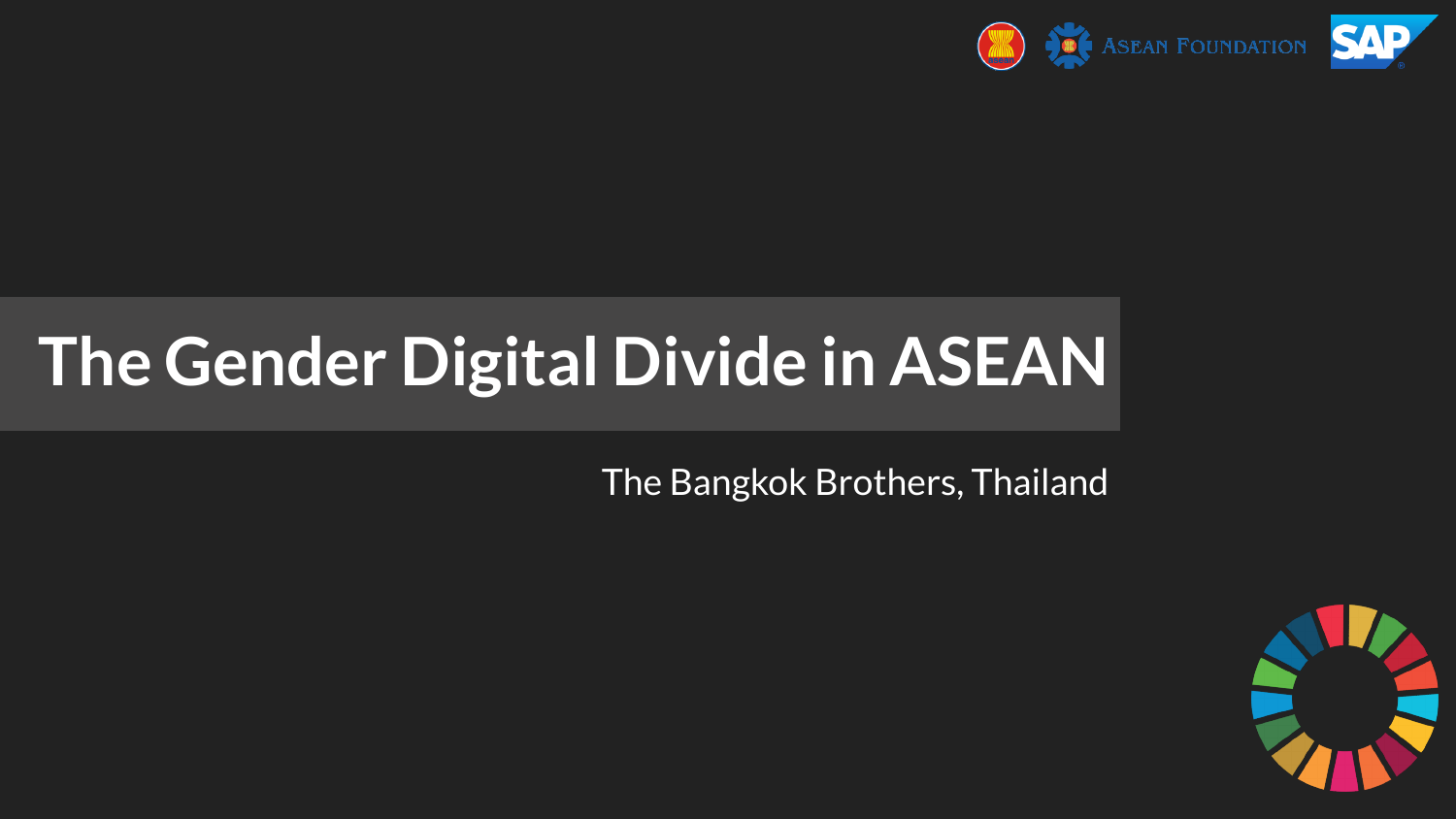

# **The Gender Digital Divide in ASEAN**

The Bangkok Brothers, Thailand

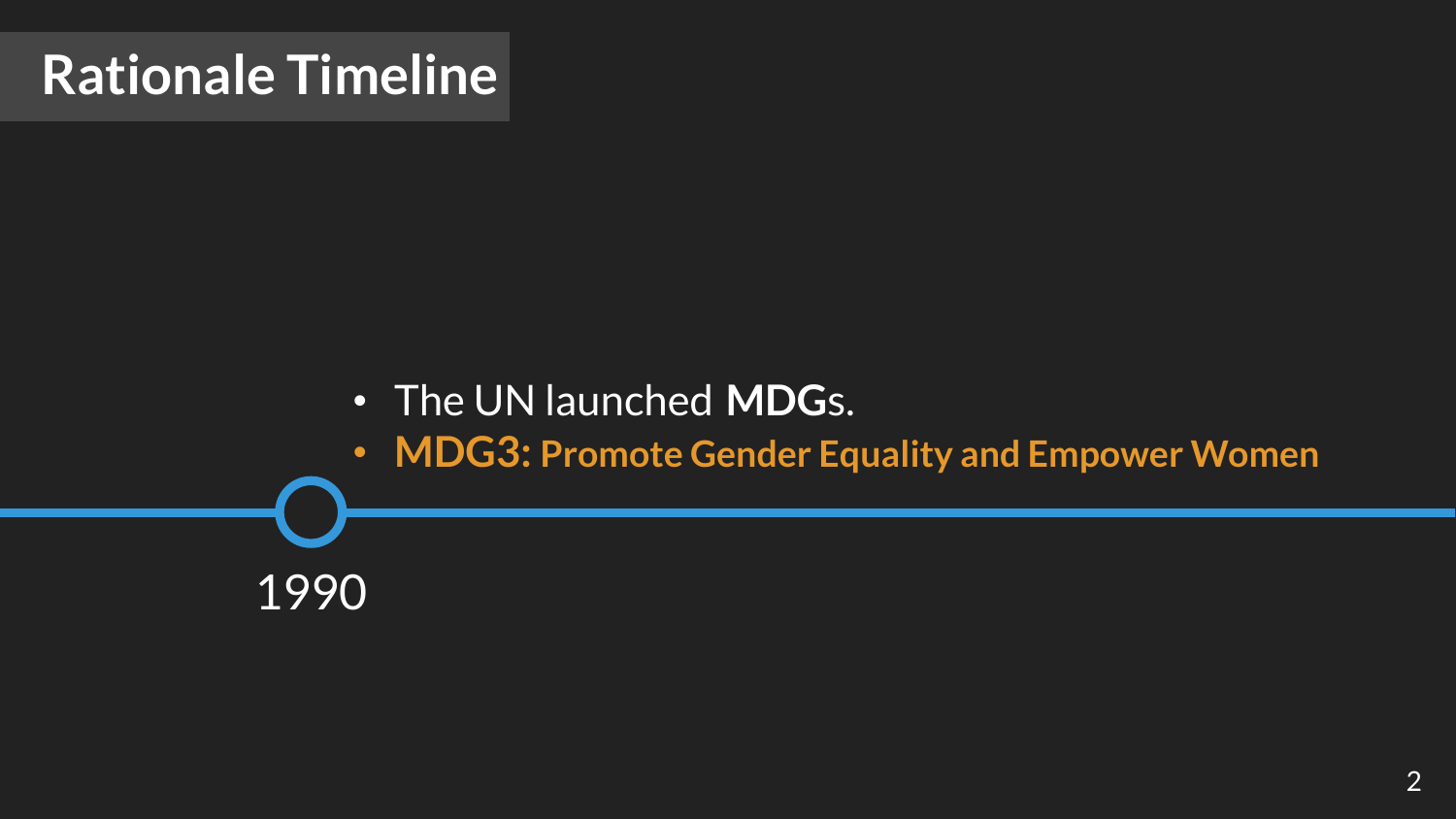### **Rationale Timeline**

### • The UN launched **MDG**s.

• **MDG3: Promote Gender Equality and Empower Women**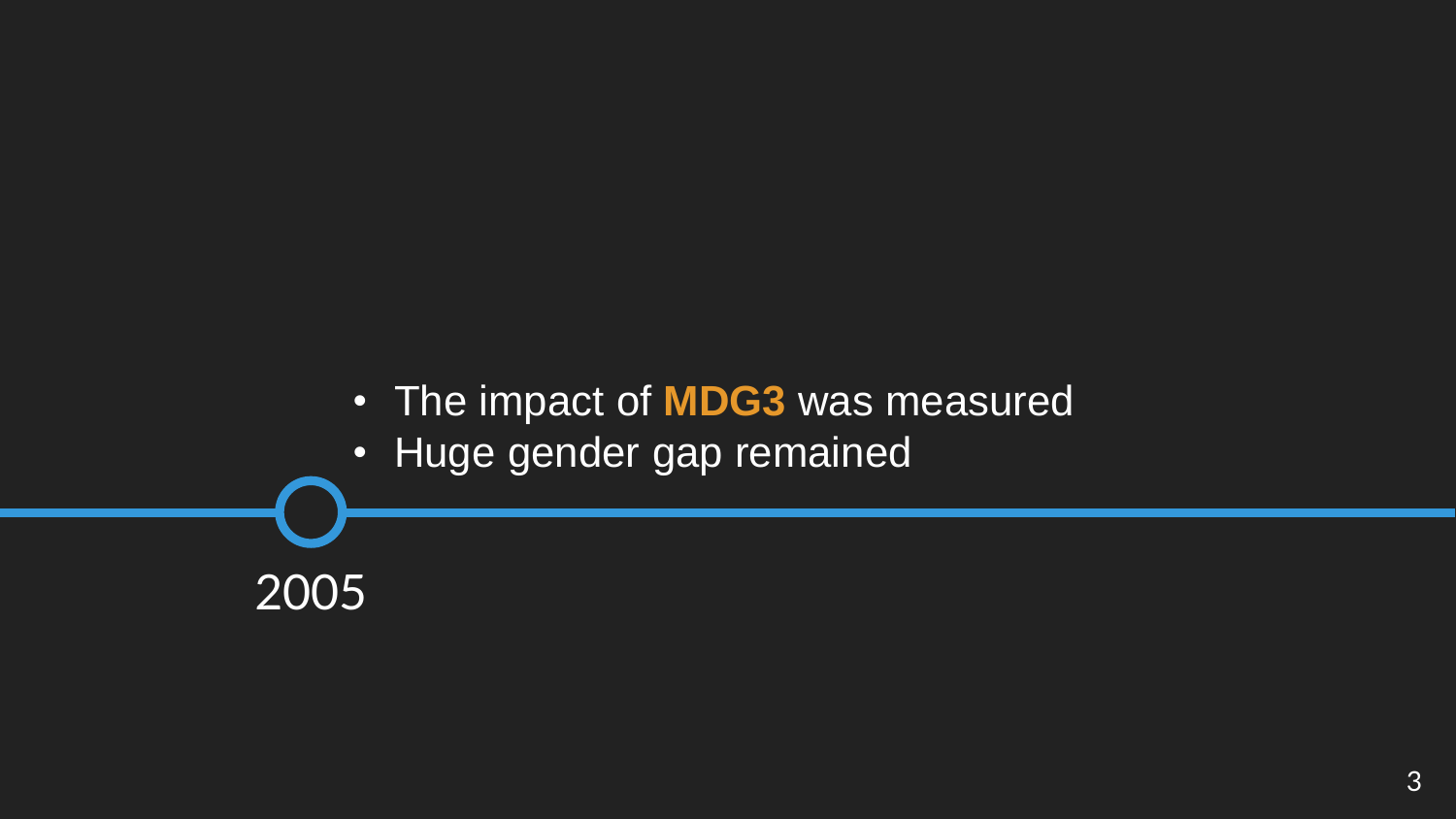### • The impact of **MDG3** was measured

• Huge gender gap remained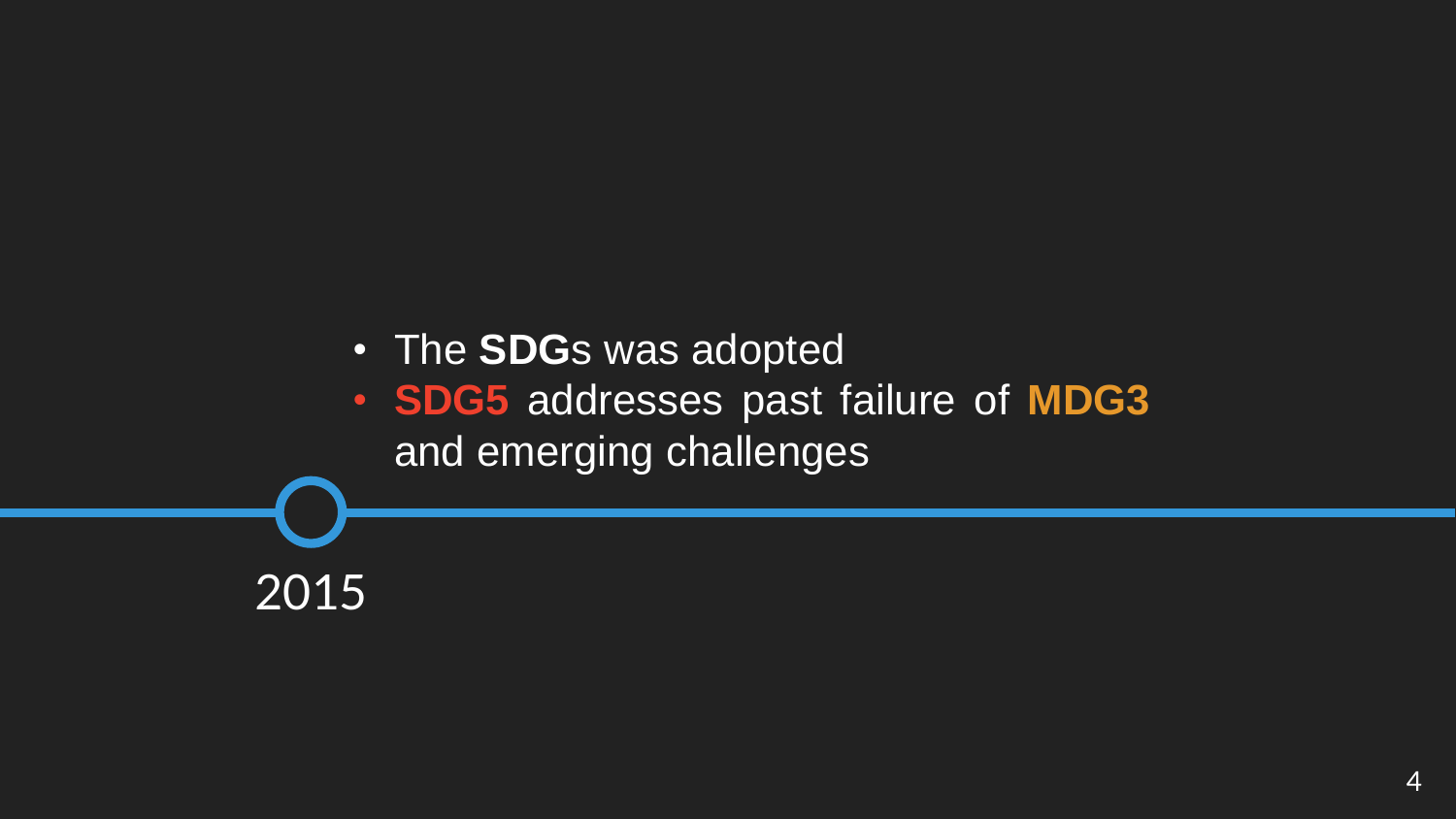• The **SDG**s was adopted

• **SDG5** addresses past failure of **MDG3** and emerging challenges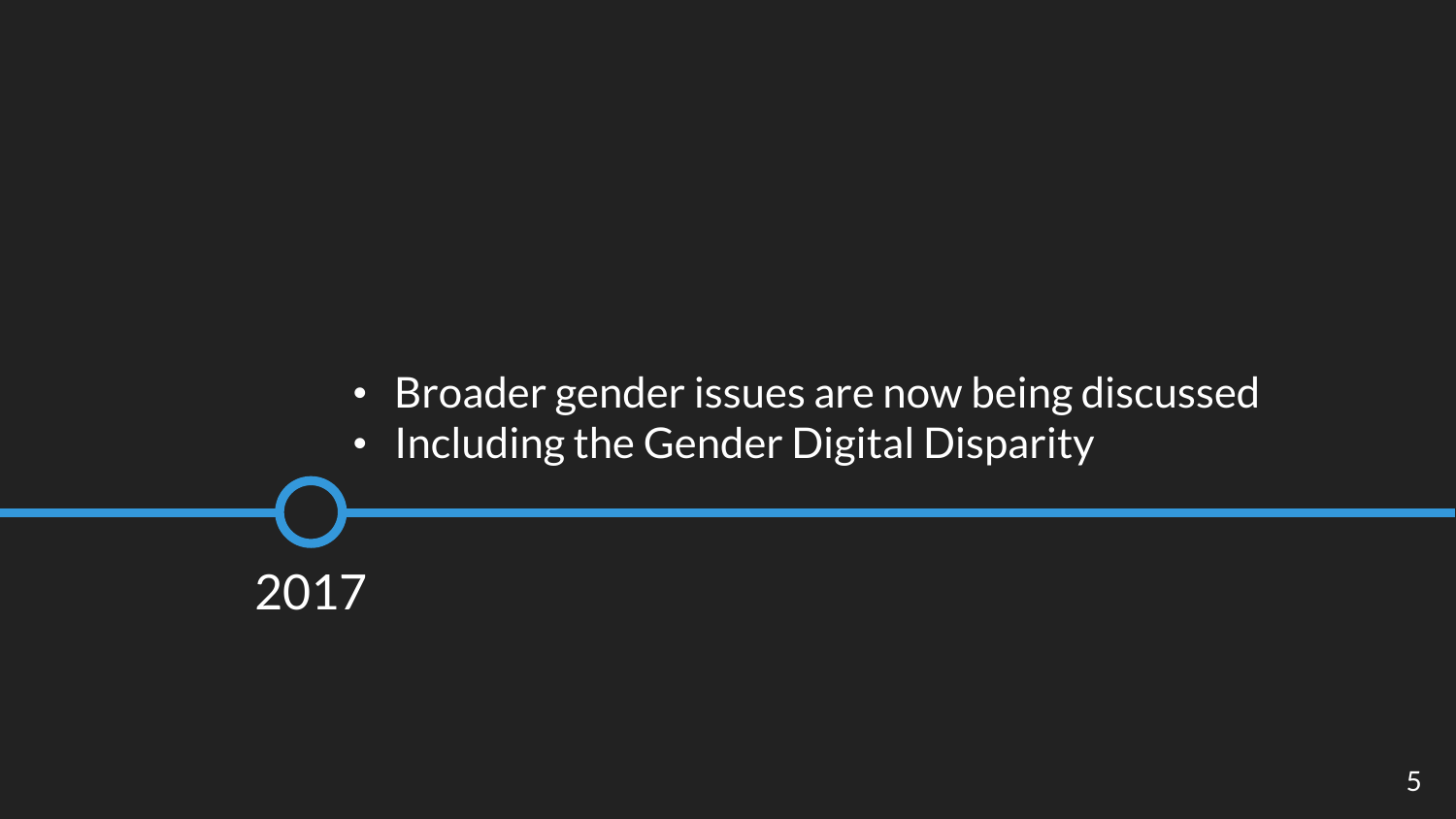- Broader gender issues are now being discussed
- Including the Gender Digital Disparity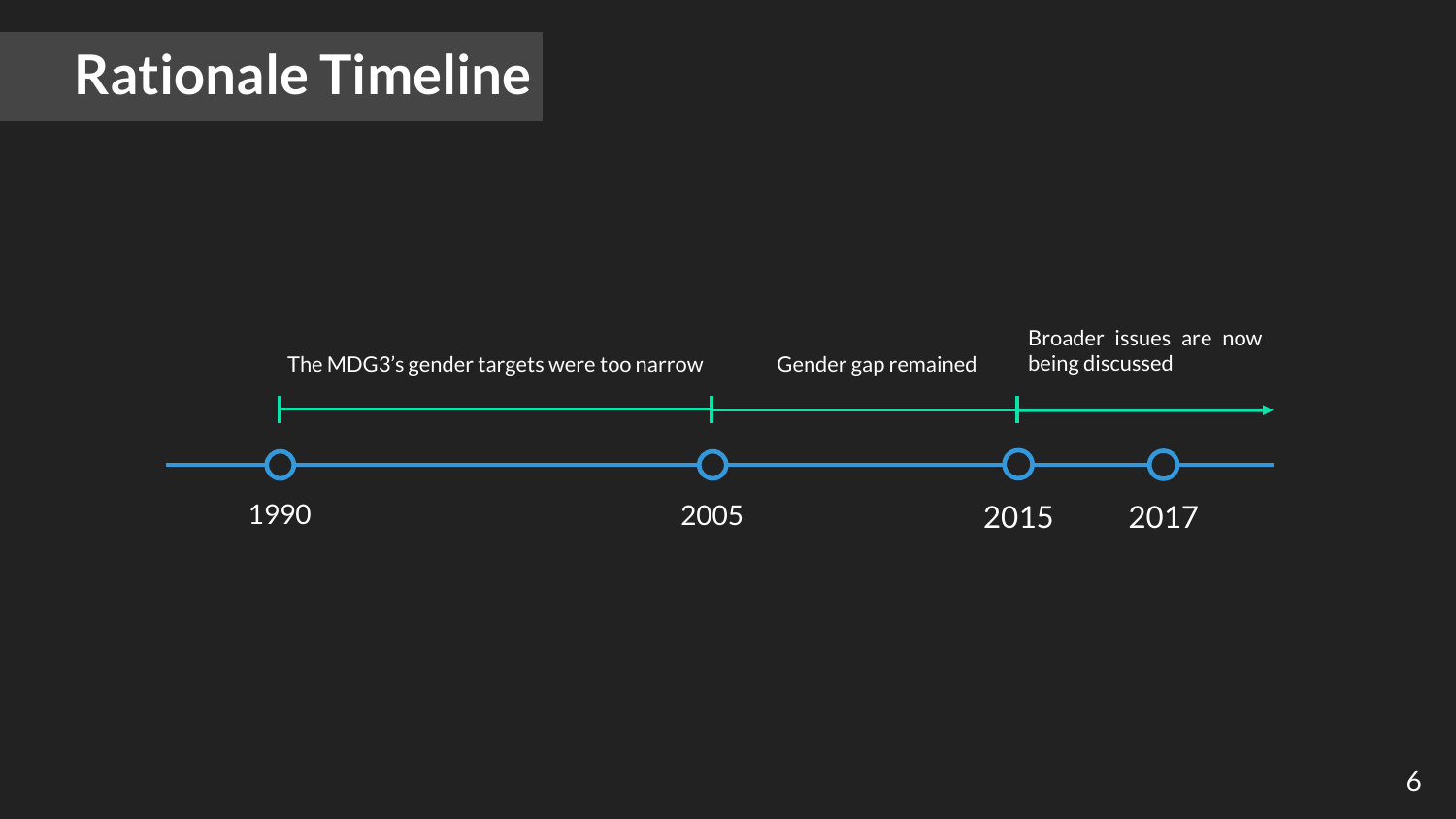### **Rationale Timeline**

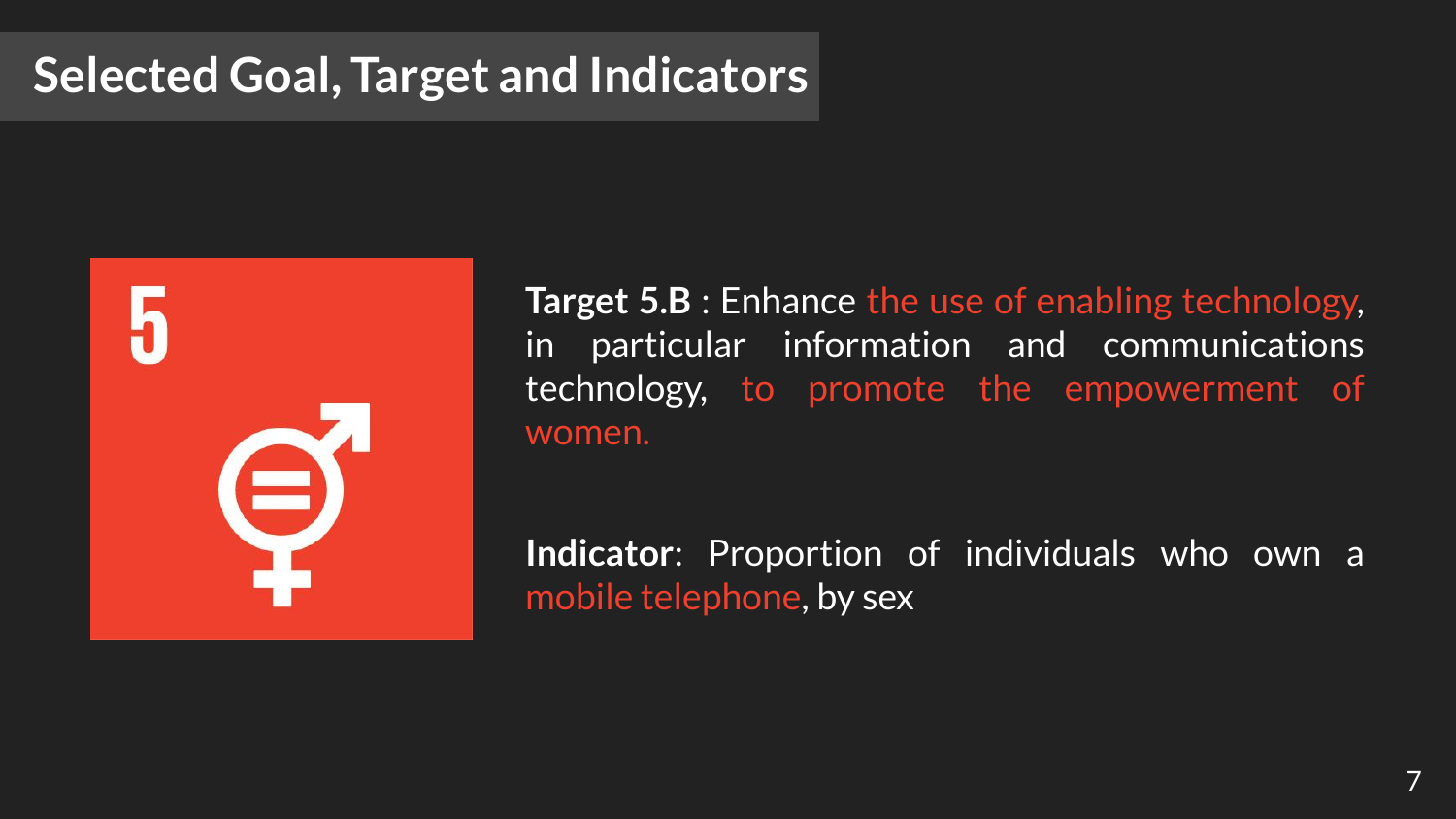### **Selected Goal, Target and Indicators**

9

**Target 5.B** : Enhance the use of enabling technology, in particular information and communications technology, to promote the empowerment of women.

**Indicator**: Proportion of individuals who own a mobile telephone, by sex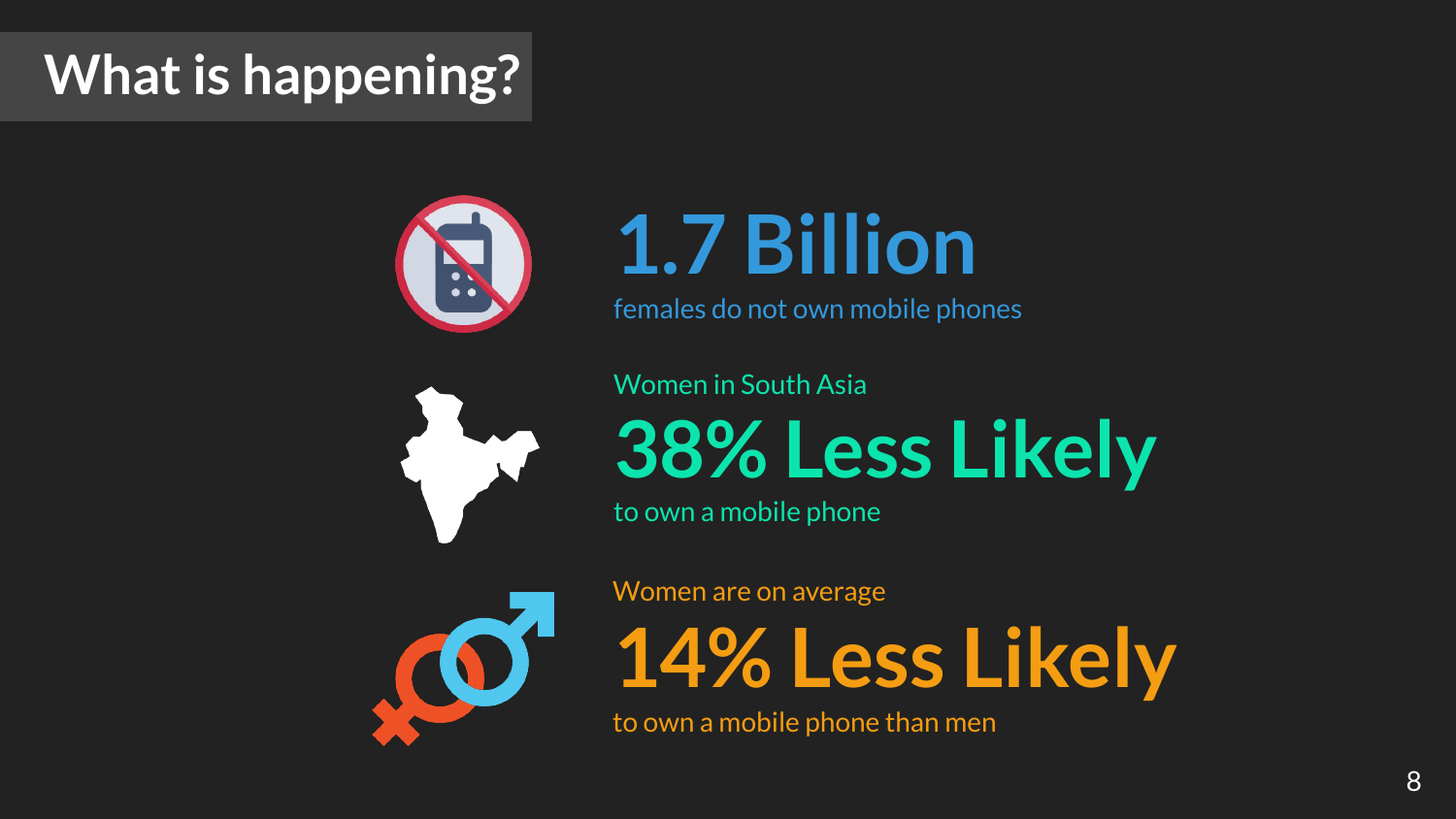# **What is happening?**



# **1.7 Billion**

females do not own mobile phones



#### Women in South Asia

**38% Less Likely**

to own a mobile phone



Women are on average

**14% Less Likely**

to own a mobile phone than men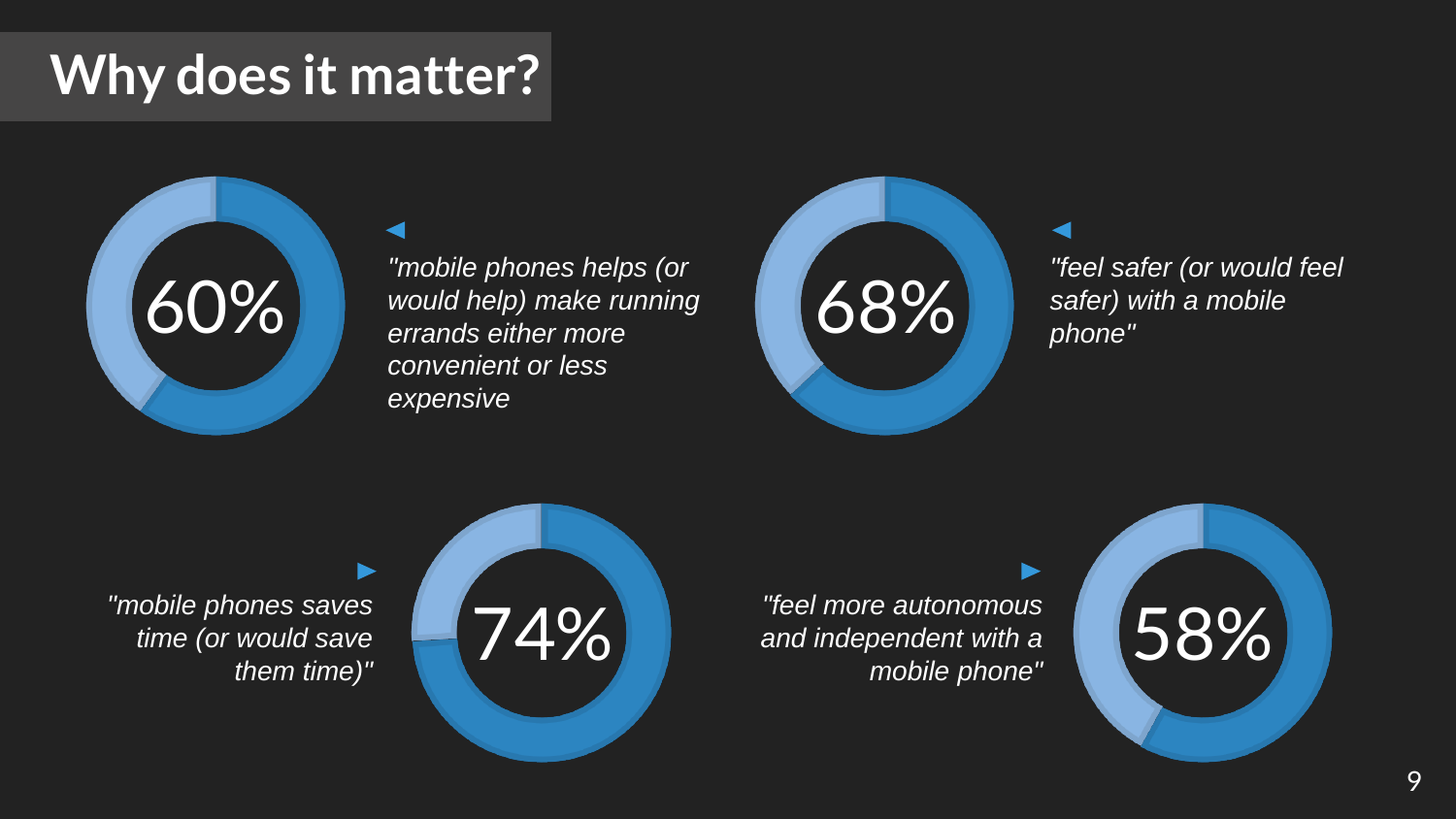### **Why does it matter?**



*"mobile phones helps (or would help) make running errands either more convenient or less expensive*



*"feel safer (or would feel safer) with a mobile phone"*

58%

*"feel more autonomous and independent with a mobile phone"*



*"mobile phones saves time (or would save them time)"*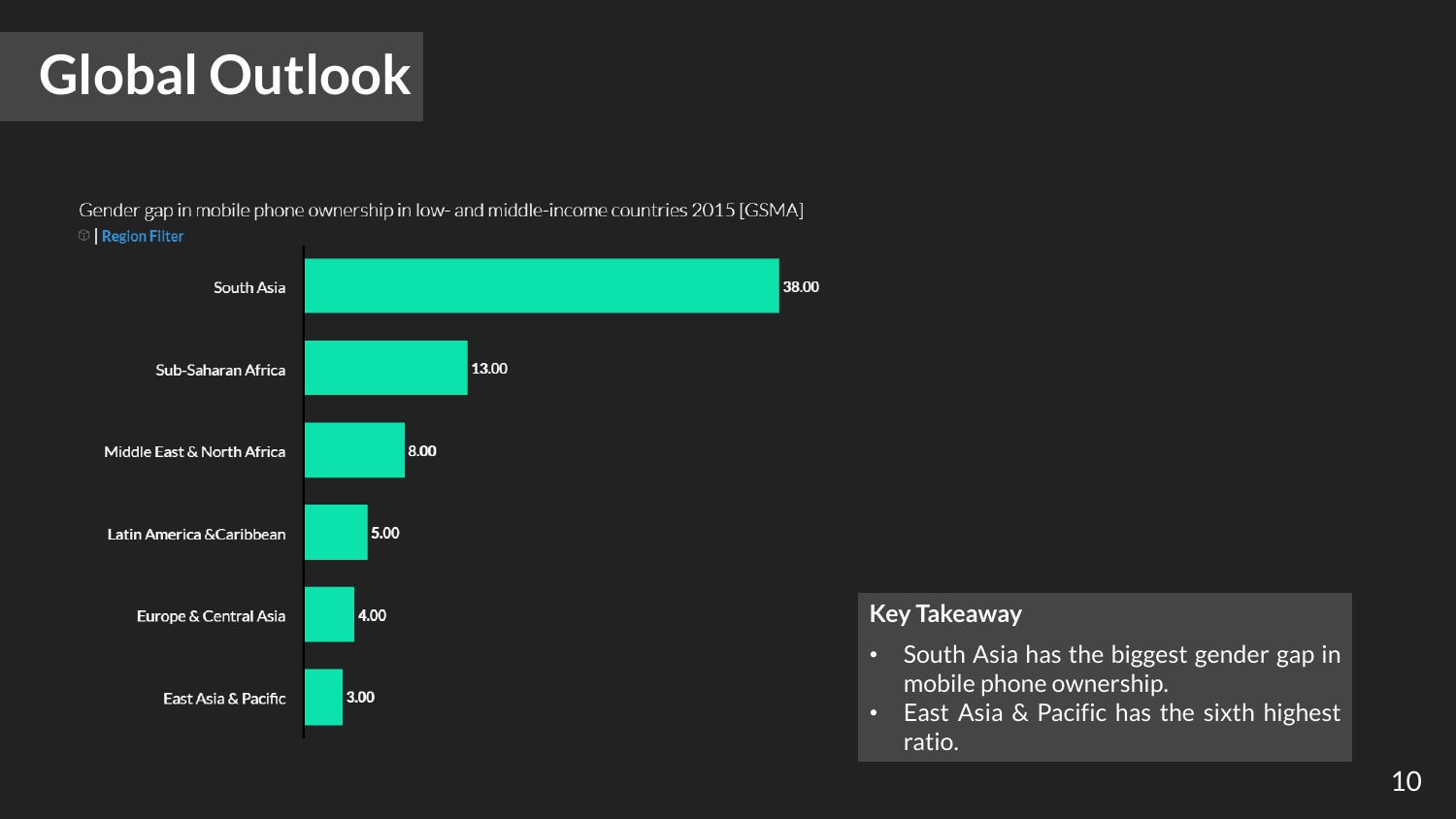### **Global Outlook**

Gender gap in mobile phone ownership in low- and middle-income countries 2015 [GSMA]  $\circledcirc$  | Region Filter



- South Asia has the biggest gender gap in mobile phone ownership.
- East Asia & Pacific has the sixth highest ratio.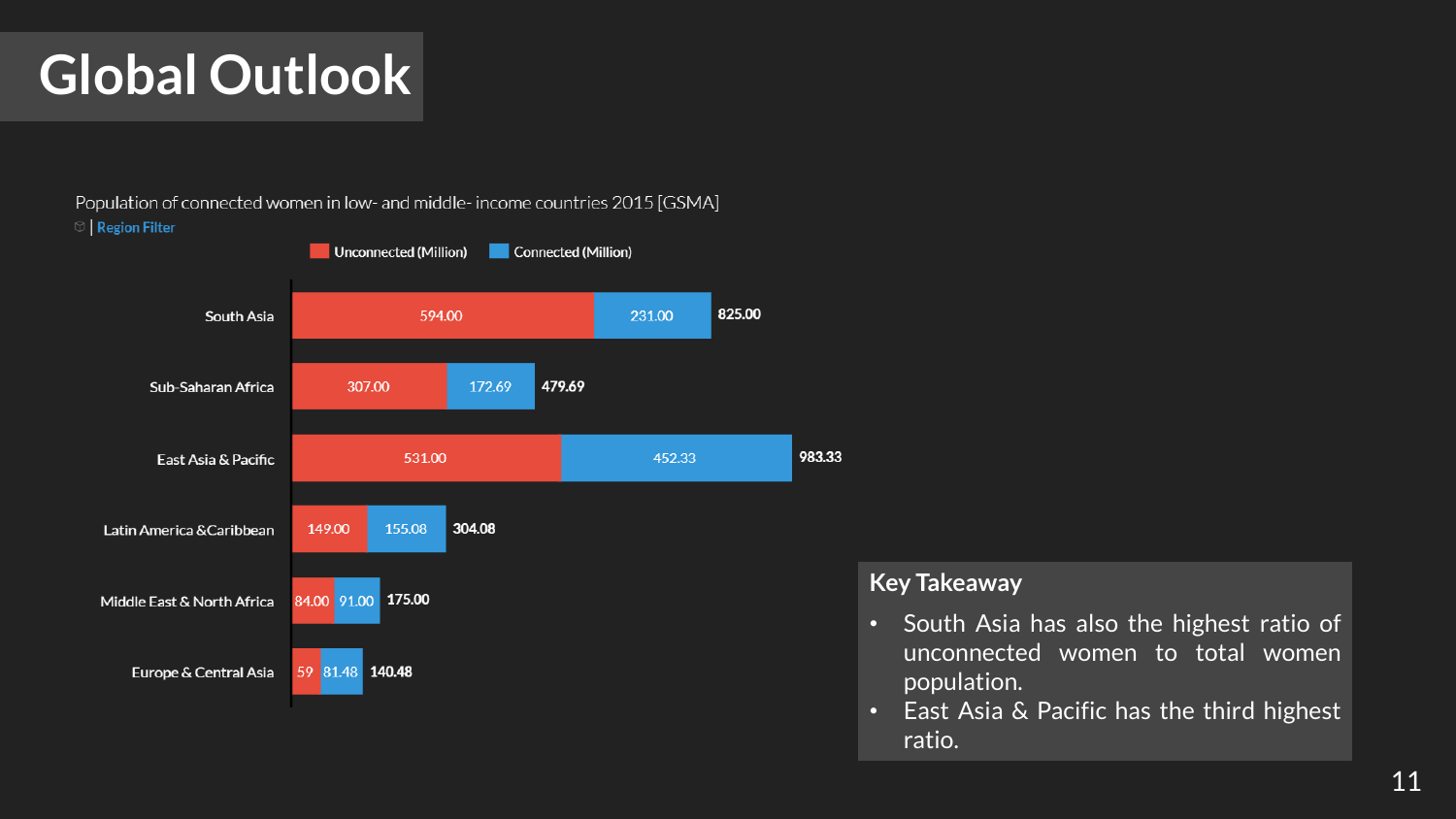### **Global Outlook**

Population of connected women in low- and middle-income countries 2015 [GSMA]  $\circ$  | Region Filter



- South Asia has also the highest ratio of unconnected women to total women population.
- East Asia & Pacific has the third highest ratio.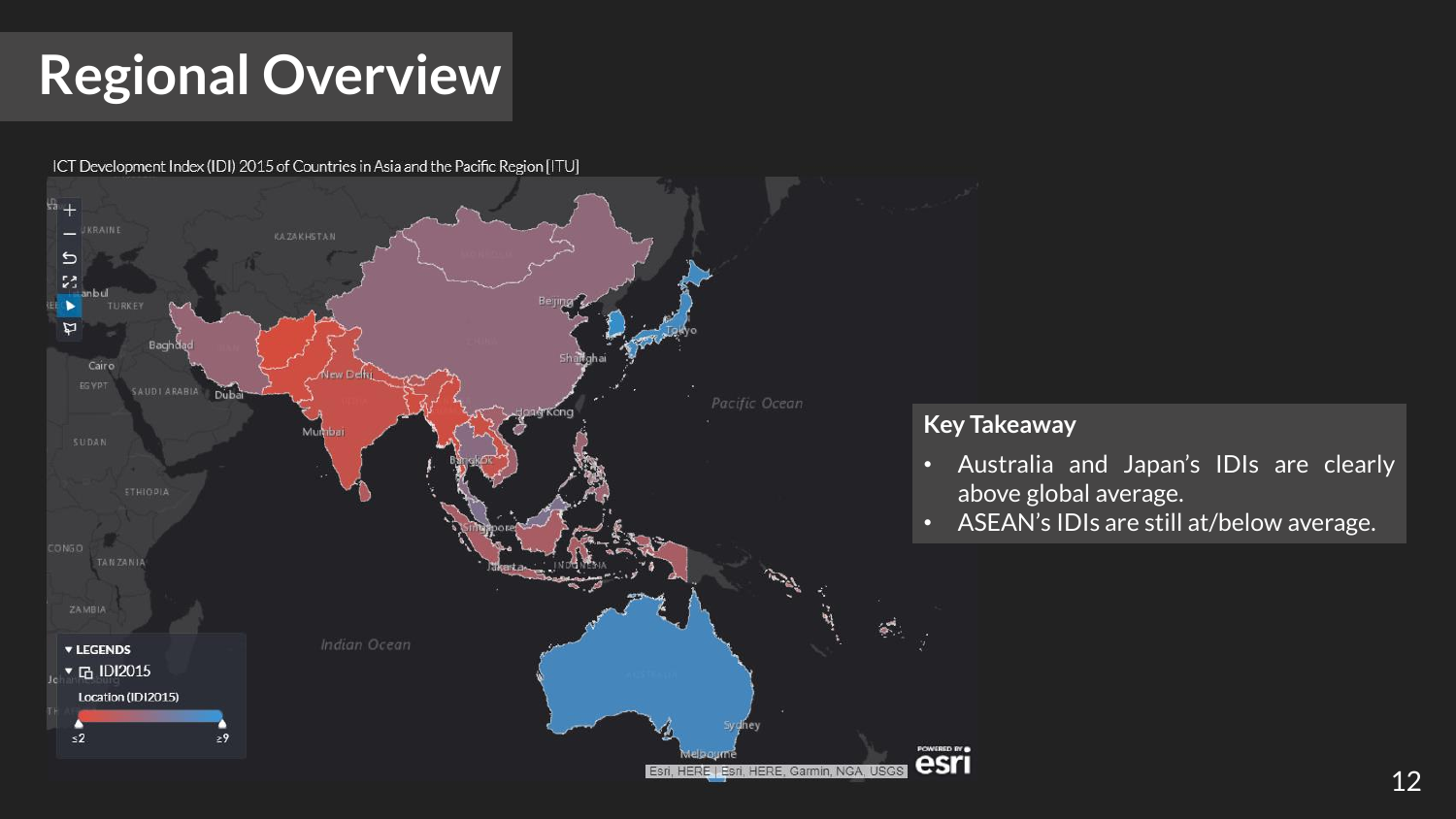# **Regional Overview**

ICT Development Index (IDI) 2015 of Countries in Asia and the Pacific Region [ITU]



- Australia and Japan's IDIs are clearly above global average.
- ASEAN's IDIs are still at/below average.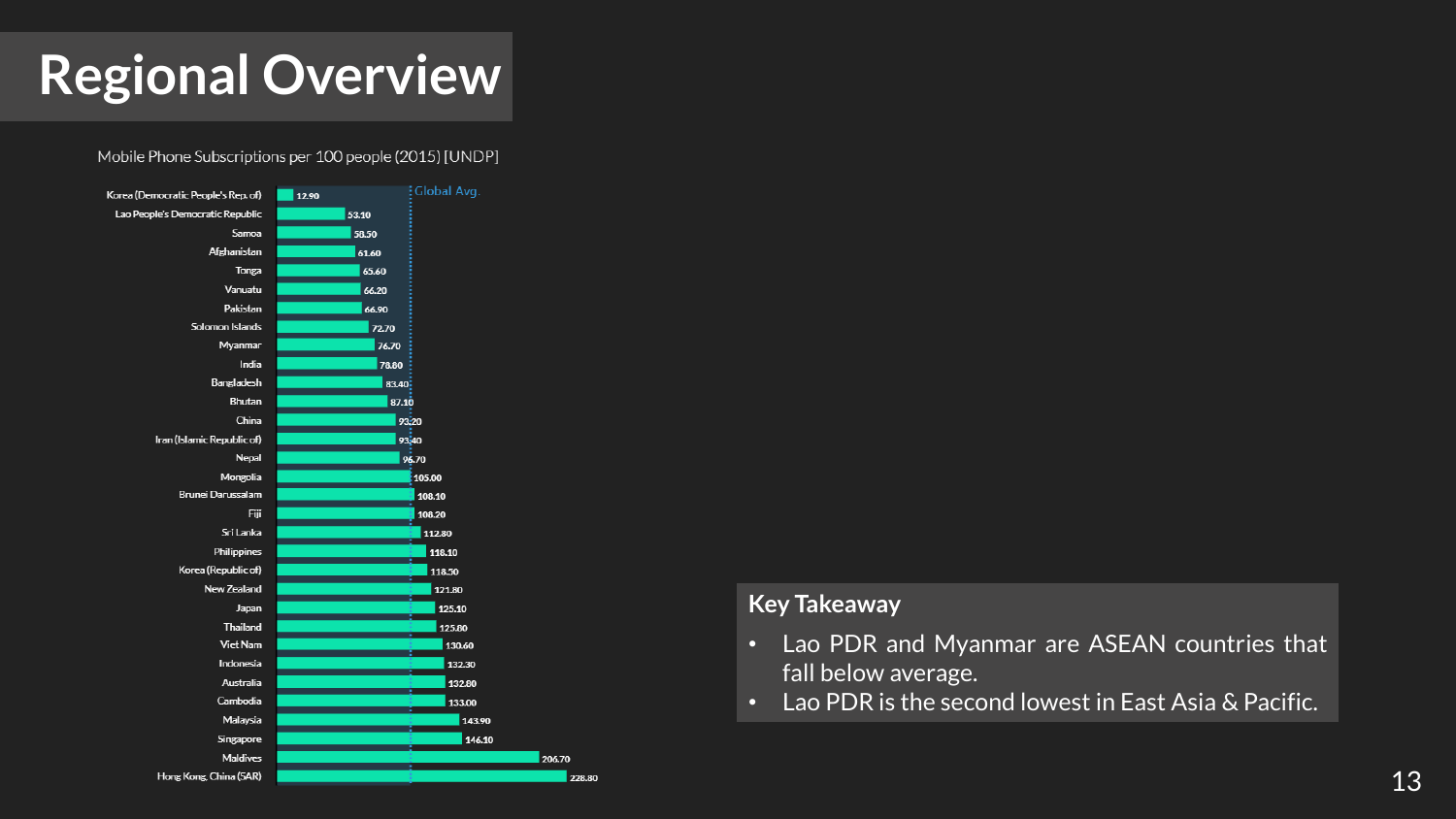## **Regional Overview**

Mobile Phone Subscriptions per 100 people (2015) [UNDP]



#### **Key Takeaway**

228.80

- Lao PDR and Myanmar are ASEAN countries that fall below average.
- Lao PDR is the second lowest in East Asia & Pacific.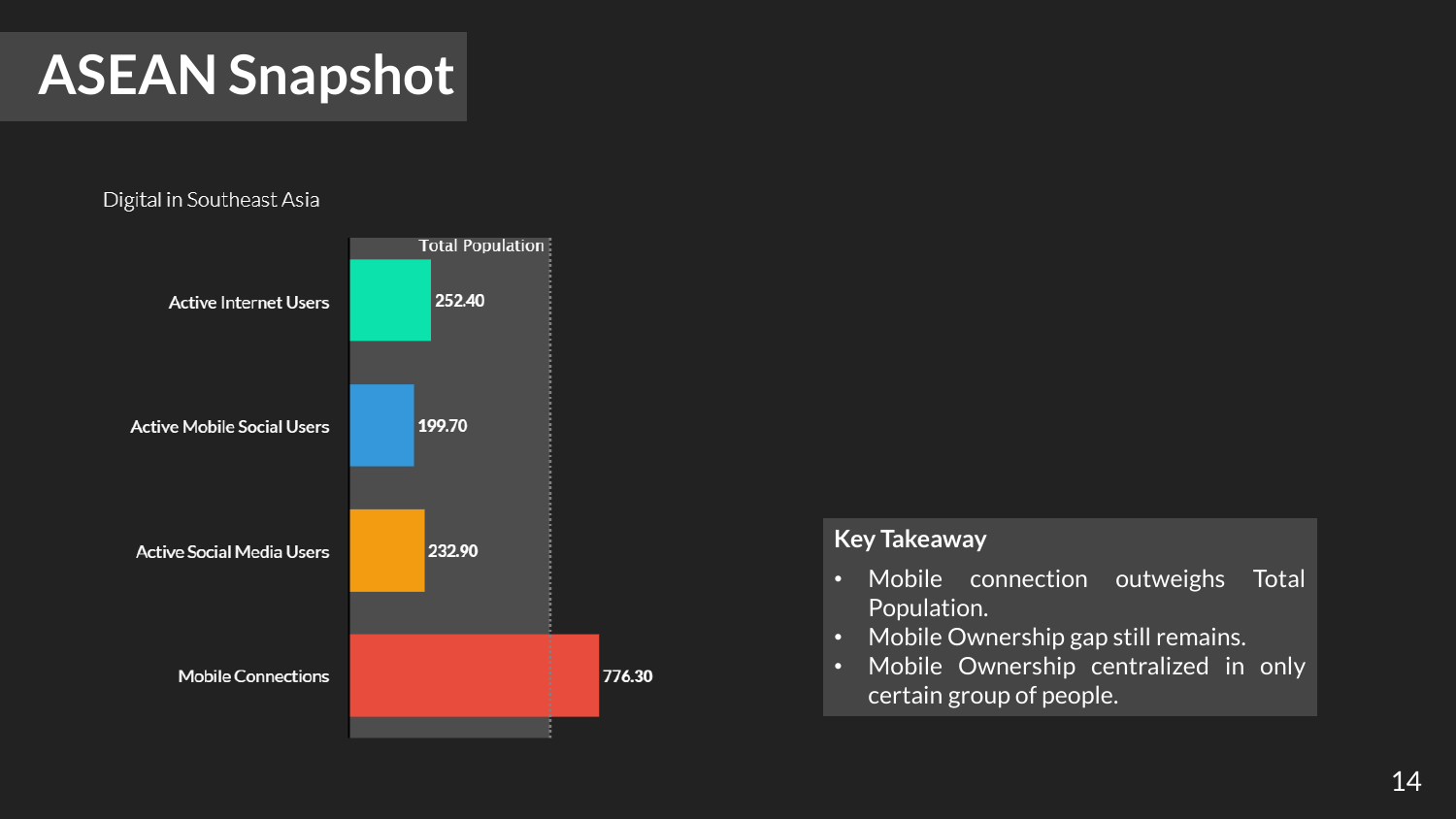## **ASEAN Snapshot**

#### Digital in Southeast Asia



- Mobile connection outweighs Total Population.
- Mobile Ownership gap still remains.
- Mobile Ownership centralized in only certain group of people.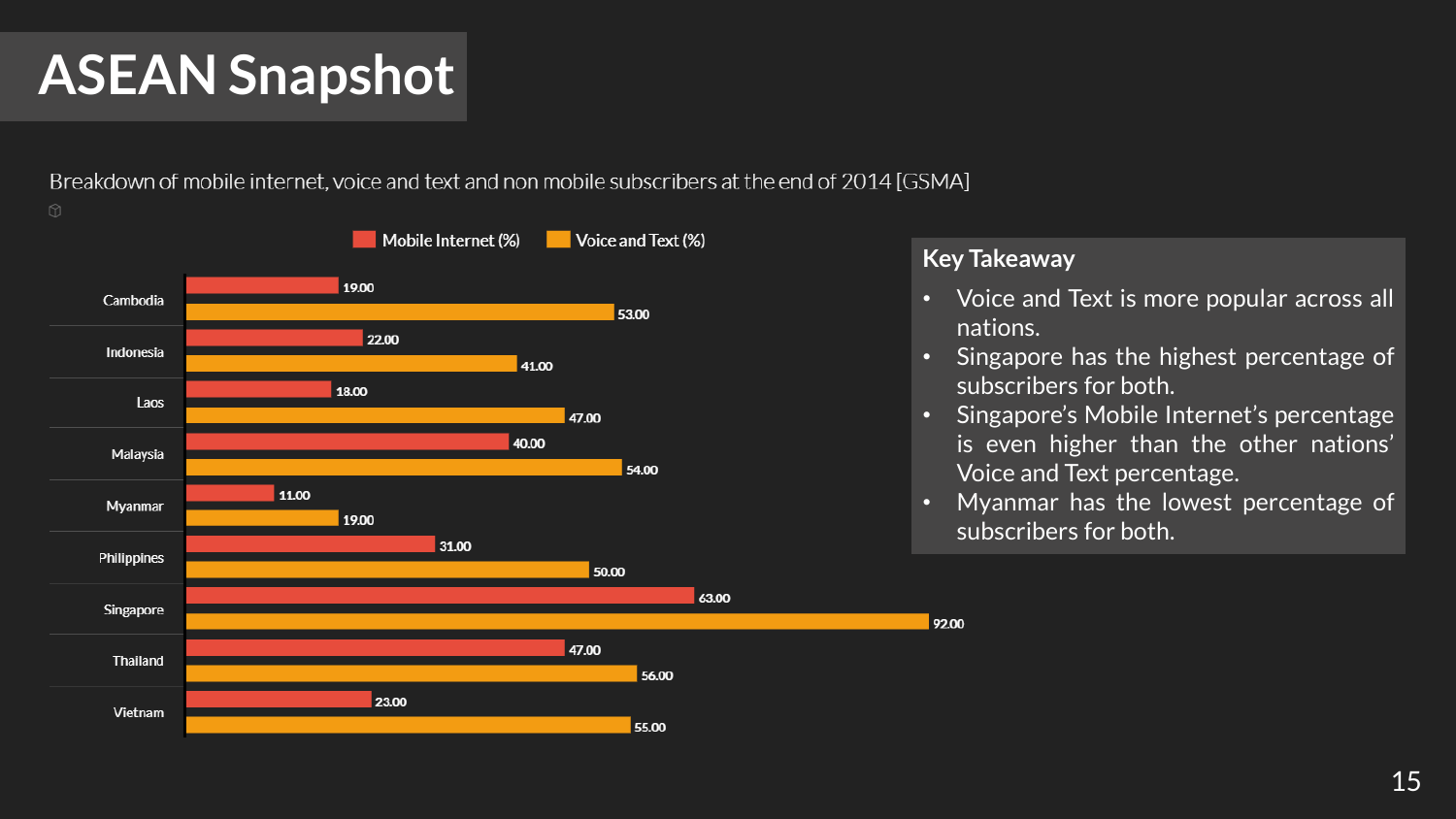# **ASEAN Snapshot**

Breakdown of mobile internet, voice and text and non mobile subscribers at the end of 2014 [GSMA]



#### **Key Takeaway**

92.00

- Voice and Text is more popular across all nations.
- Singapore has the highest percentage of subscribers for both.
- Singapore's Mobile Internet's percentage is even higher than the other nations' Voice and Text percentage.
- Myanmar has the lowest percentage of subscribers for both.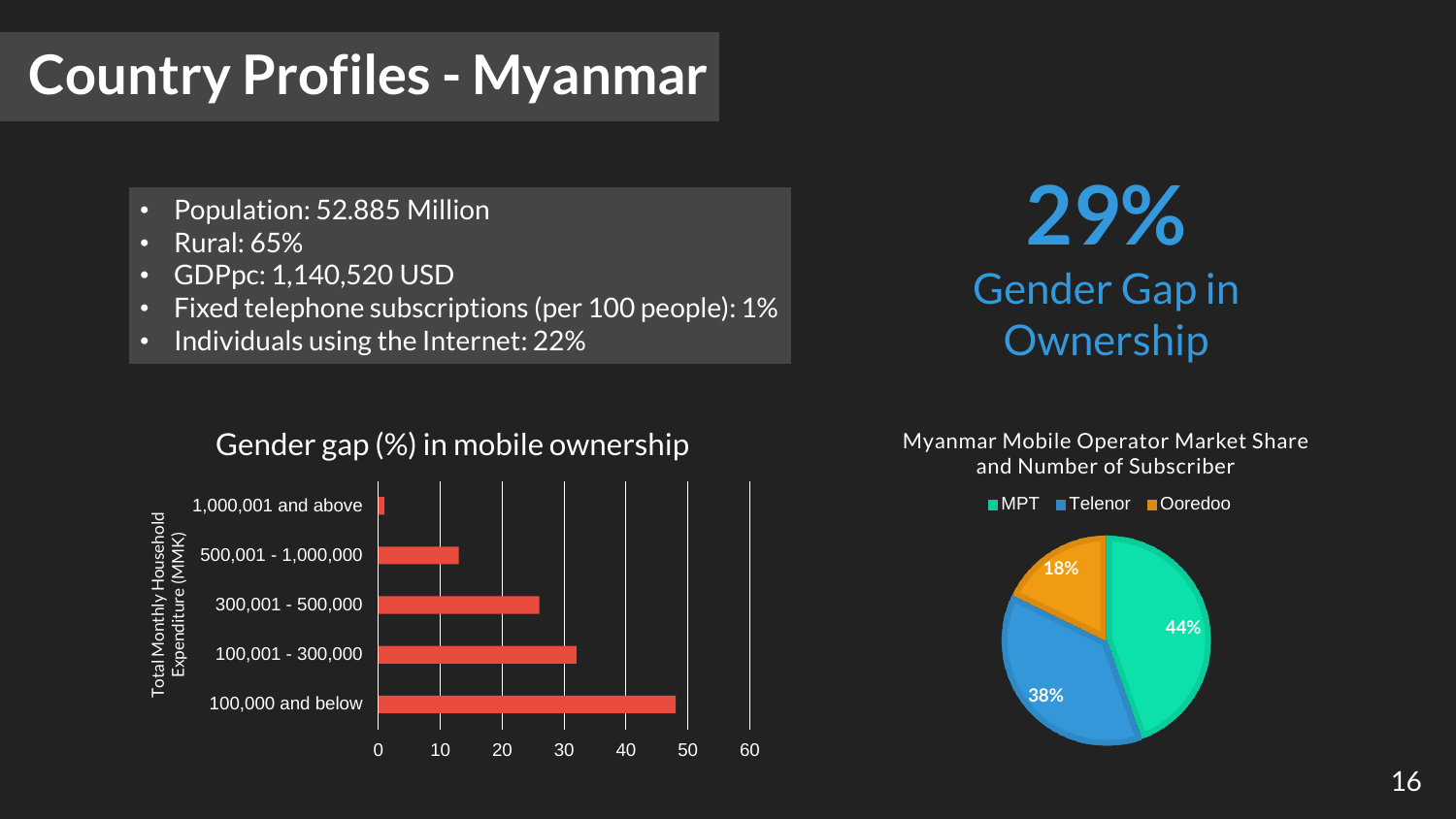## **Country Profiles - Myanmar**

- Population: 52.885 Million
- Rural: 65%
- GDPpc: 1,140,520 USD
- Fixed telephone subscriptions (per 100 people): 1%
- Individuals using the Internet: 22%

**29%** Gender Gap in **Ownership** 

Myanmar Mobile Operator Market Share and Number of Subscriber



#### Gender gap (%) in mobile ownership

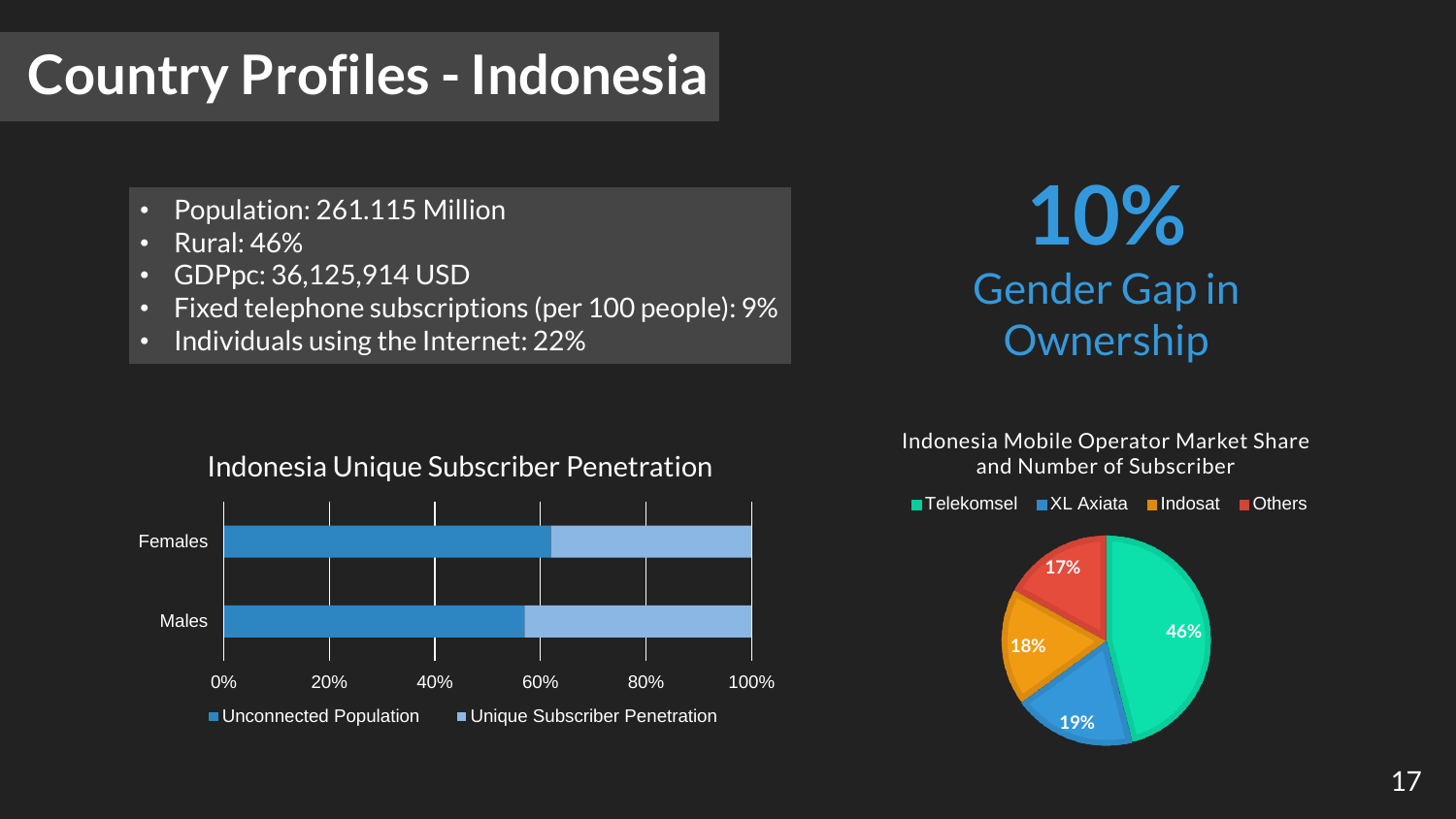## **Country Profiles - Indonesia**

- Population: 261.115 Million
- Rural: 46%
- GDPpc: 36,125,914 USD
- Fixed telephone subscriptions (per 100 people): 9%
- Individuals using the Internet: 22%

**10%** Gender Gap in **Ownership** 

Indonesia Mobile Operator Market Share and Number of Subscriber



Indonesia Unique Subscriber Penetration

■Telekomsel ■XL Axiata ■Indosat ■Others

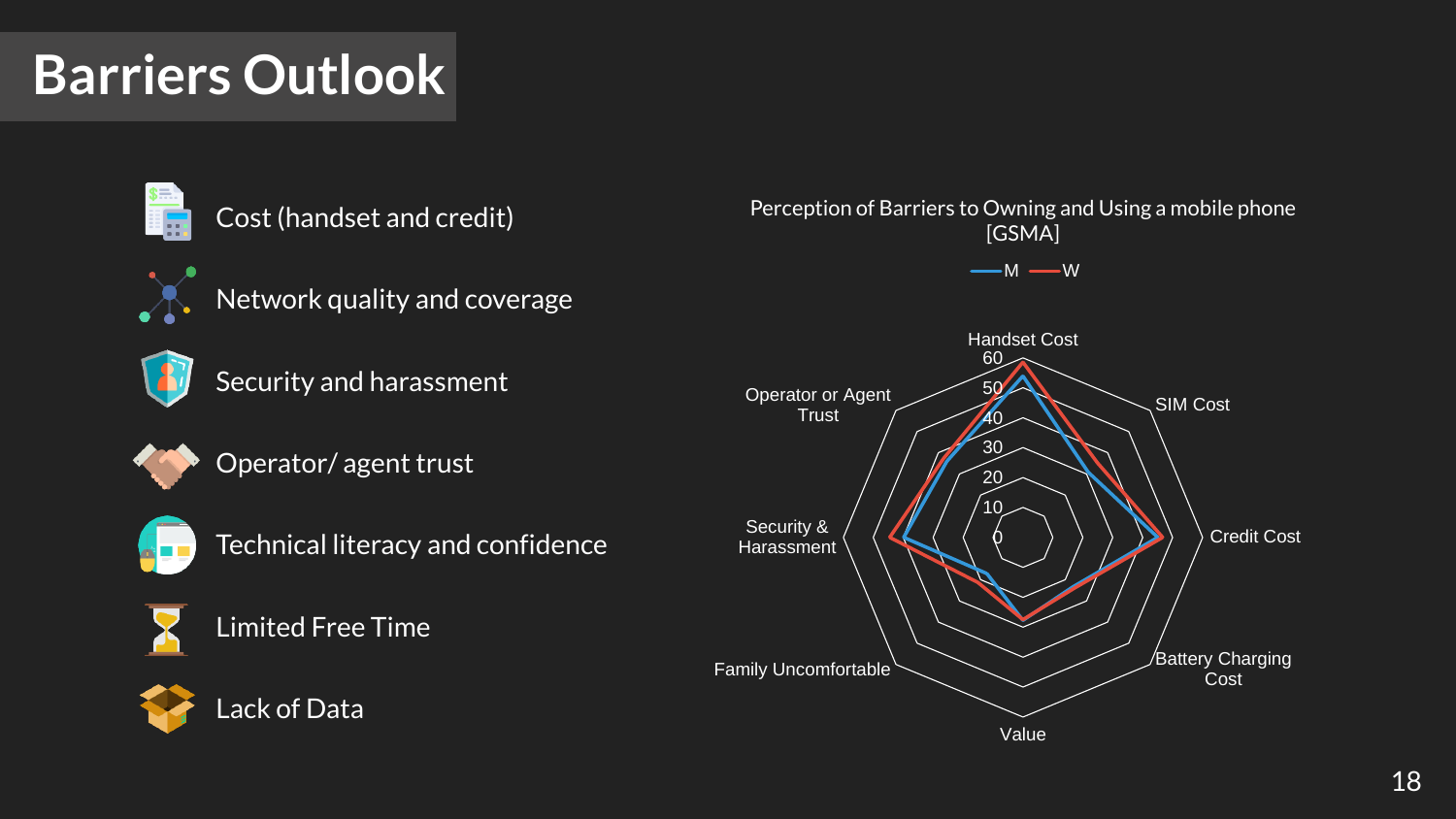### **Barriers Outlook**



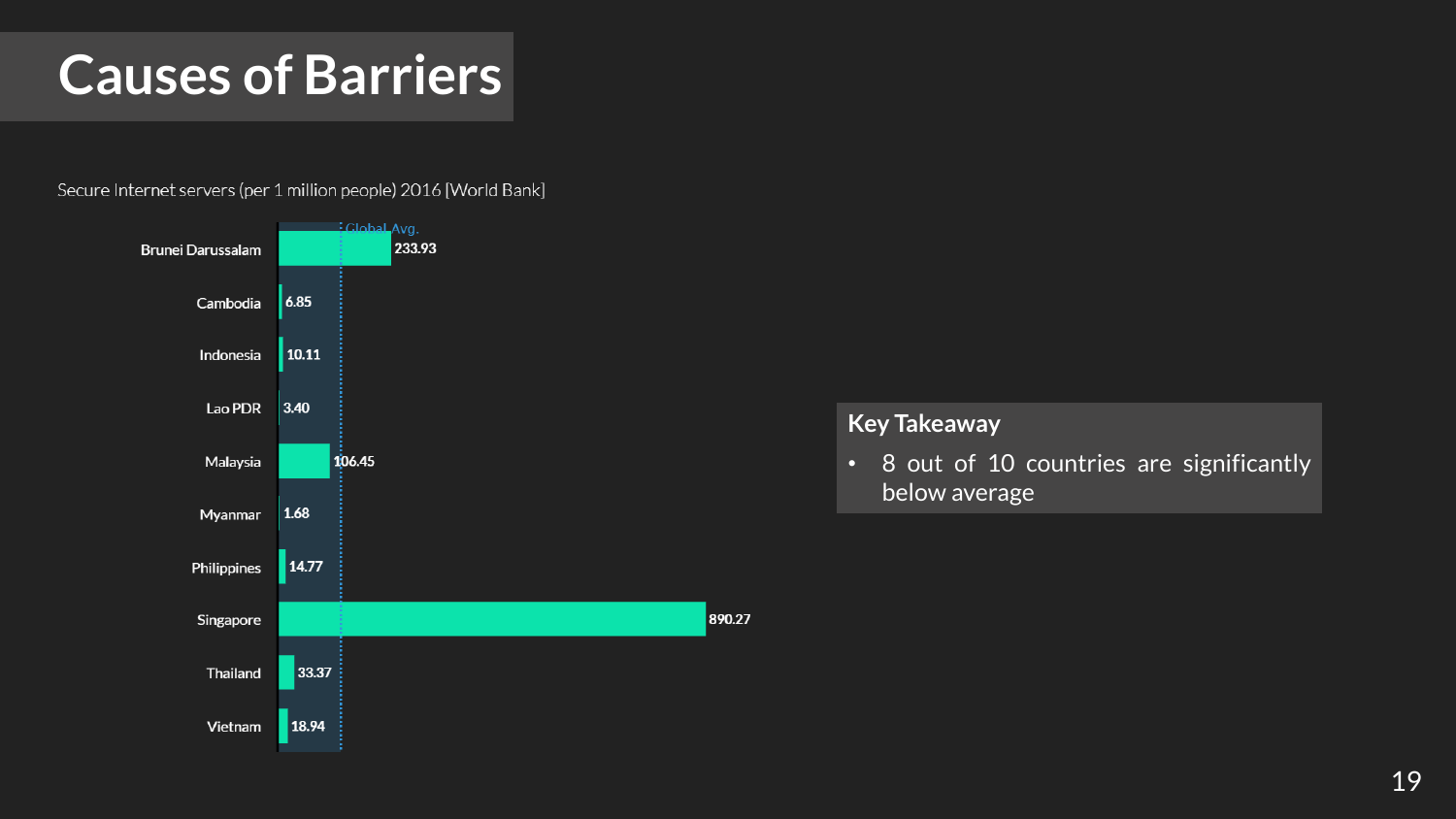### **Causes of Barriers**

Secure Internet servers (per 1 million people) 2016 [World Bank]



#### **Key Takeaway**

• 8 out of 10 countries are significantly below average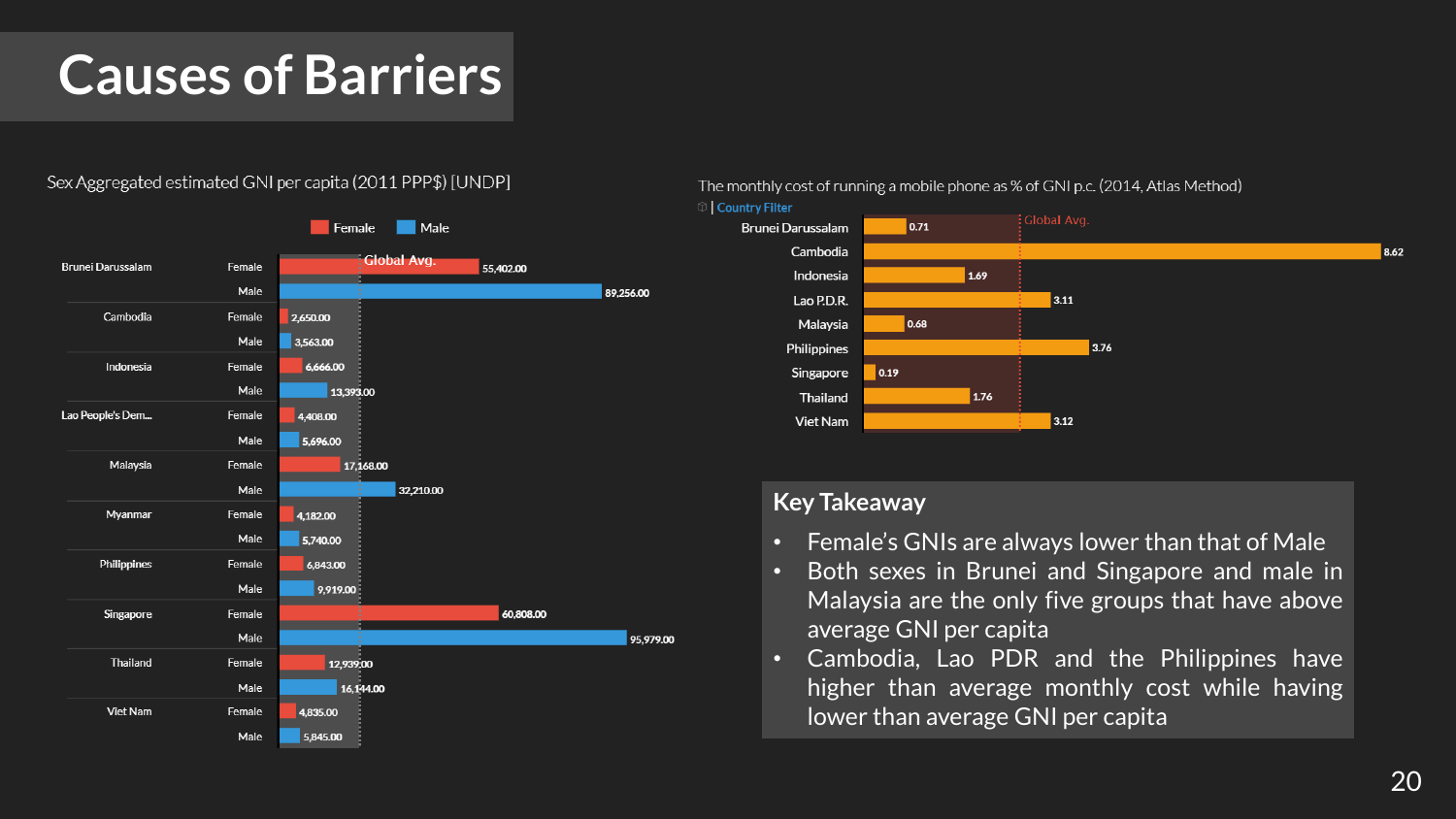### **Causes of Barriers**

#### Sex Aggregated estimated GNI per capita (2011 PPP\$) [UNDP]



The monthly cost of running a mobile phone as % of GNI p.c. (2014, Atlas Method)



- Female's GNIs are always lower than that of Male
- Both sexes in Brunei and Singapore and male in Malaysia are the only five groups that have above average GNI per capita
- Cambodia, Lao PDR and the Philippines have higher than average monthly cost while having lower than average GNI per capita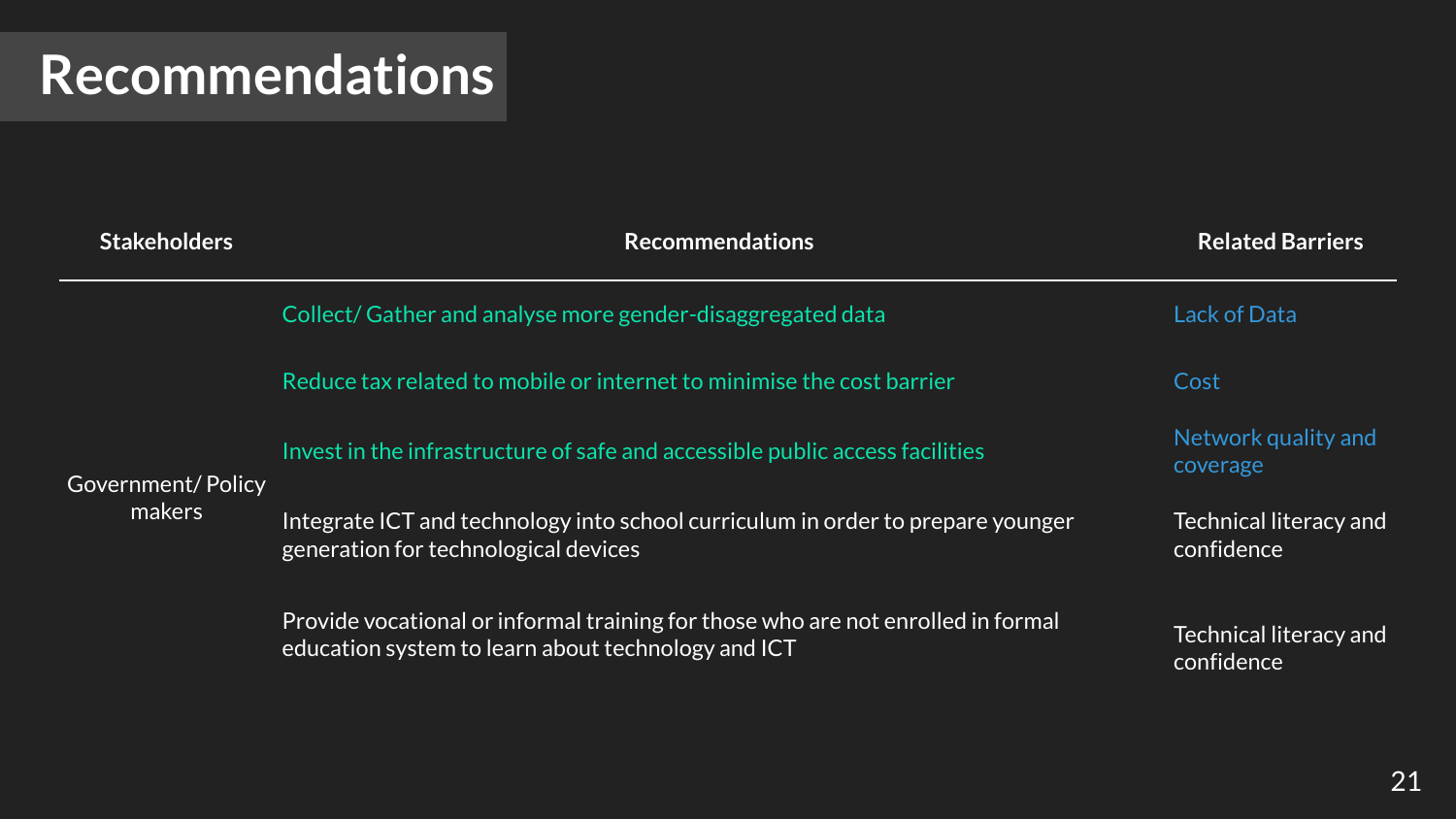| <b>Stakeholders</b>         | <b>Recommendations</b>                                                                                                                 | <b>Related Barriers</b>                     |
|-----------------------------|----------------------------------------------------------------------------------------------------------------------------------------|---------------------------------------------|
| Government/Policy<br>makers | Collect/Gather and analyse more gender-disaggregated data                                                                              | Lack of Data                                |
|                             | Reduce tax related to mobile or internet to minimise the cost barrier                                                                  | Cost                                        |
|                             | Invest in the infrastructure of safe and accessible public access facilities                                                           | Network quality and<br>coverage             |
|                             | Integrate ICT and technology into school curriculum in order to prepare younger<br>generation for technological devices                | Technical literacy and<br>confidence        |
|                             | Provide vocational or informal training for those who are not enrolled in formal<br>education system to learn about technology and ICT | <b>Technical literacy and</b><br>confidence |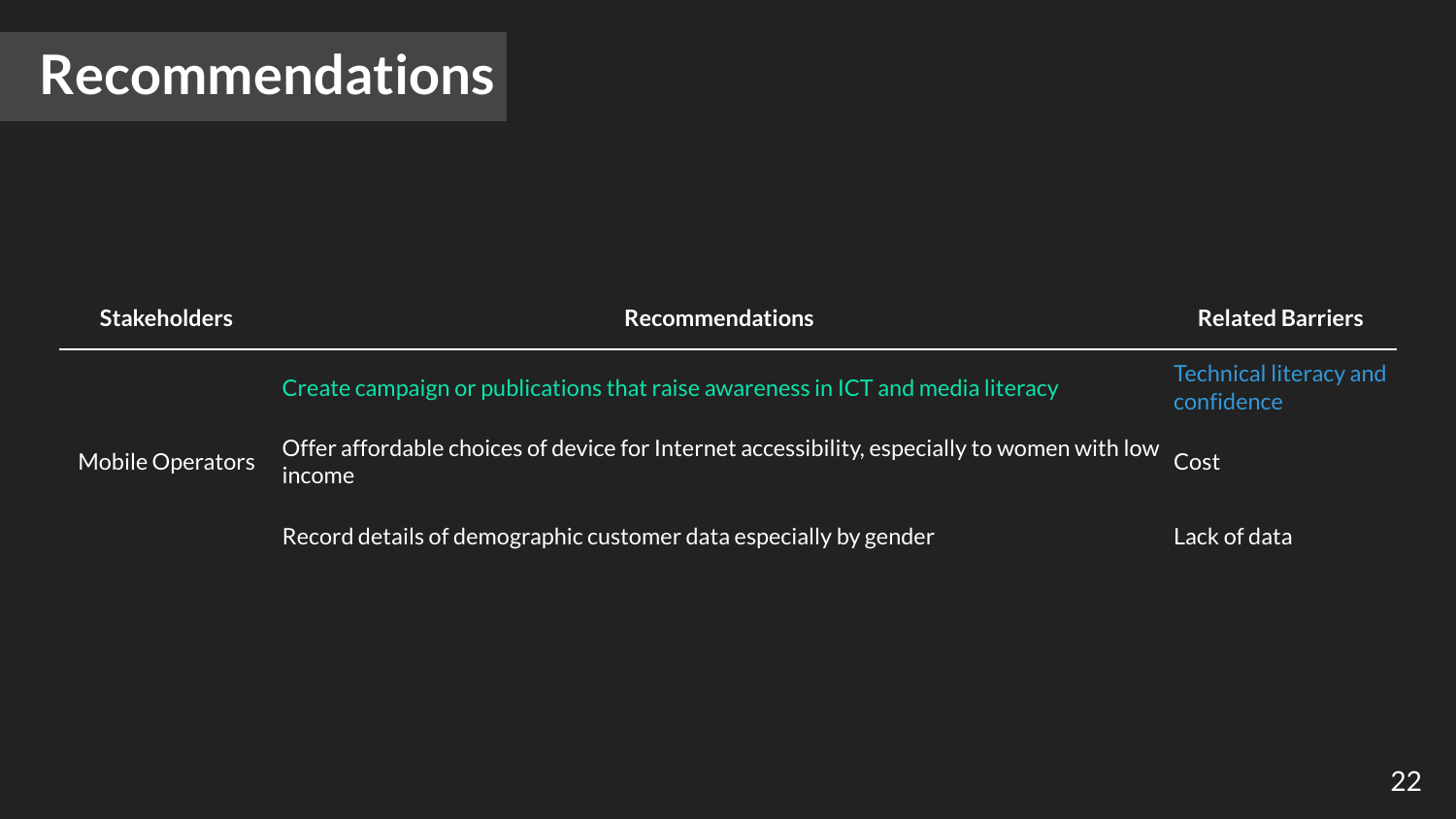### **Recommendations**

| <b>Stakeholders</b> | <b>Recommendations</b>                                                                                | <b>Related Barriers</b>                     |
|---------------------|-------------------------------------------------------------------------------------------------------|---------------------------------------------|
| Mobile Operators    | Create campaign or publications that raise awareness in ICT and media literacy                        | <b>Technical literacy and</b><br>confidence |
|                     | Offer affordable choices of device for Internet accessibility, especially to women with low<br>income | Cost                                        |
|                     | Record details of demographic customer data especially by gender                                      | Lack of data                                |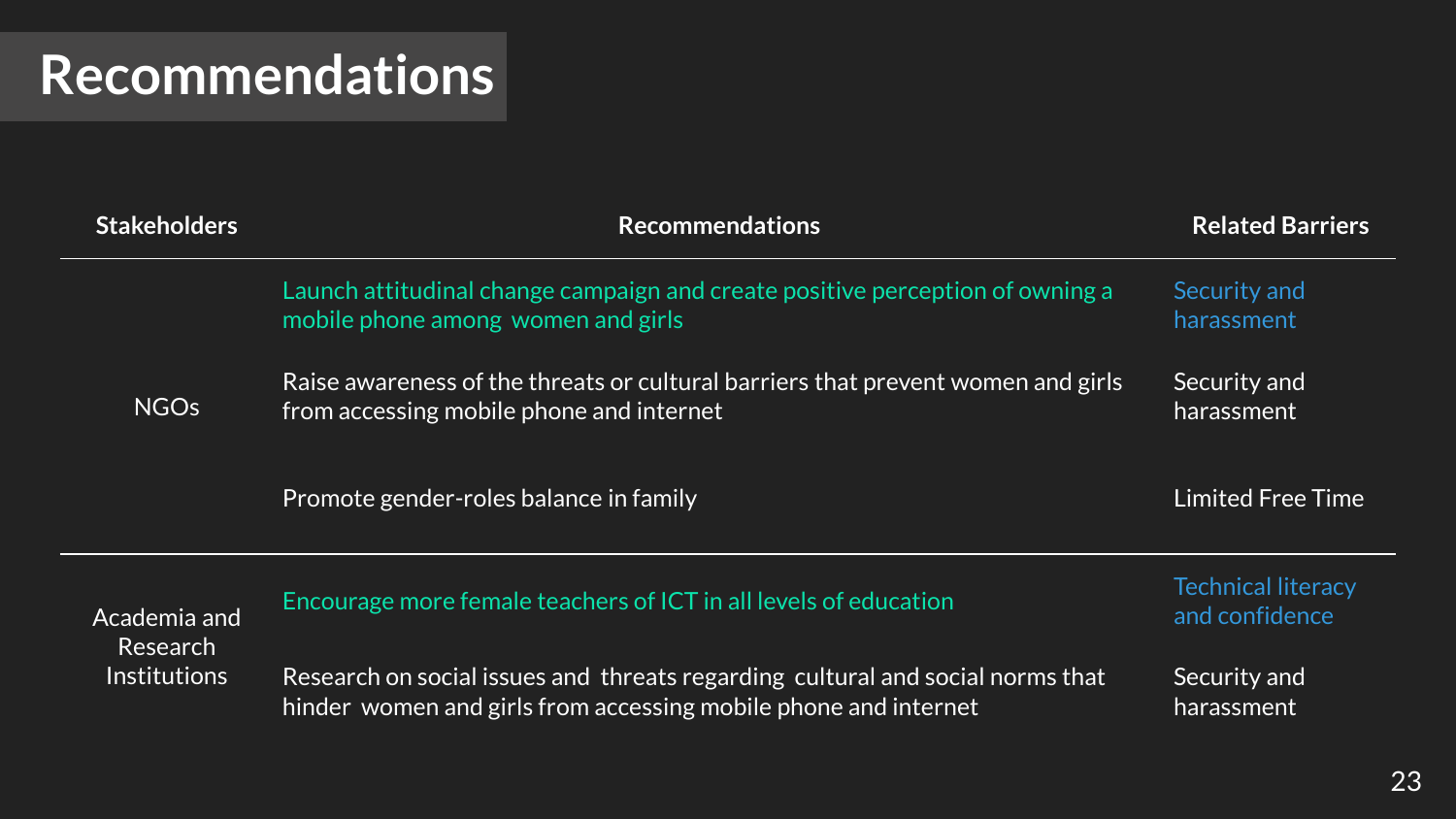### **Recommendations**

| <b>Stakeholders</b>                                    | <b>Recommendations</b>                                                                                                                            | <b>Related Barriers</b>                     |
|--------------------------------------------------------|---------------------------------------------------------------------------------------------------------------------------------------------------|---------------------------------------------|
| <b>NGOs</b>                                            | Launch attitudinal change campaign and create positive perception of owning a<br>mobile phone among women and girls                               | Security and<br>harassment                  |
|                                                        | Raise awareness of the threats or cultural barriers that prevent women and girls<br>from accessing mobile phone and internet                      | Security and<br>harassment                  |
|                                                        | Promote gender-roles balance in family                                                                                                            | <b>Limited Free Time</b>                    |
| Academia and<br><b>Research</b><br><b>Institutions</b> | Encourage more female teachers of ICT in all levels of education                                                                                  | <b>Technical literacy</b><br>and confidence |
|                                                        | Research on social issues and threats regarding cultural and social norms that<br>hinder women and girls from accessing mobile phone and internet | Security and<br>harassment                  |